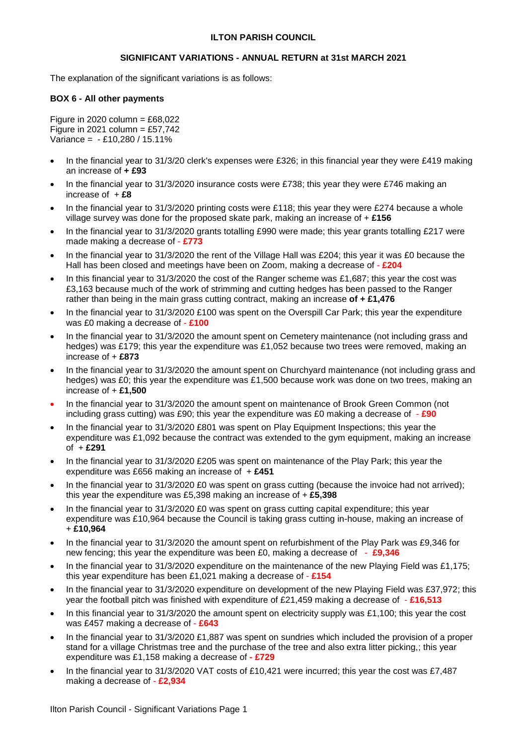## **ILTON PARISH COUNCIL**

## **SIGNIFICANT VARIATIONS - ANNUAL RETURN at 31st MARCH 2021**

The explanation of the significant variations is as follows:

#### **BOX 6 - All other payments**

Figure in 2020 column =  $£68,022$ Figure in 2021 column =  $£57,742$ Variance = - £10,280 / 15.11%

- In the financial year to 31/3/20 clerk's expenses were £326; in this financial year they were £419 making an increase of **+ £93**
- In the financial year to 31/3/2020 insurance costs were £738; this year they were £746 making an increase of + **£8**
- In the financial year to 31/3/2020 printing costs were £118; this year they were £274 because a whole village survey was done for the proposed skate park, making an increase of + **£156**
- In the financial year to 31/3/2020 grants totalling £990 were made; this year grants totalling £217 were made making a decrease of - **£773**
- In the financial year to 31/3/2020 the rent of the Village Hall was £204; this year it was £0 because the Hall has been closed and meetings have been on Zoom, making a decrease of - **£204**
- In this financial year to 31/3/2020 the cost of the Ranger scheme was £1,687; this year the cost was £3,163 because much of the work of strimming and cutting hedges has been passed to the Ranger rather than being in the main grass cutting contract, making an increase **of + £1,476**
- In the financial year to 31/3/2020 £100 was spent on the Overspill Car Park; this year the expenditure was £0 making a decrease of - **£100**
- In the financial year to 31/3/2020 the amount spent on Cemetery maintenance (not including grass and hedges) was £179; this year the expenditure was £1,052 because two trees were removed, making an increase of + **£873**
- In the financial year to 31/3/2020 the amount spent on Churchyard maintenance (not including grass and hedges) was £0; this year the expenditure was £1,500 because work was done on two trees, making an increase of + **£1,500**
- In the financial year to 31/3/2020 the amount spent on maintenance of Brook Green Common (not including grass cutting) was £90; this year the expenditure was £0 making a decrease of - **£90**
- In the financial year to 31/3/2020 £801 was spent on Play Equipment Inspections; this year the expenditure was £1,092 because the contract was extended to the gym equipment, making an increase of + **£291**
- In the financial year to 31/3/2020 £205 was spent on maintenance of the Play Park; this year the expenditure was £656 making an increase of + **£451**
- In the financial year to 31/3/2020 £0 was spent on grass cutting (because the invoice had not arrived); this year the expenditure was £5,398 making an increase of + **£5,398**
- In the financial year to 31/3/2020 £0 was spent on grass cutting capital expenditure; this year expenditure was £10,964 because the Council is taking grass cutting in-house, making an increase of + **£10,964**
- In the financial year to 31/3/2020 the amount spent on refurbishment of the Play Park was £9,346 for new fencing; this year the expenditure was been £0, making a decrease of - **£9,346**
- In the financial year to 31/3/2020 expenditure on the maintenance of the new Playing Field was £1,175; this year expenditure has been £1,021 making a decrease of - **£154**
- In the financial year to 31/3/2020 expenditure on development of the new Playing Field was £37,972; this year the football pitch was finished with expenditure of £21,459 making a decrease of - **£16,513**
- In this financial year to 31/3/2020 the amount spent on electricity supply was £1,100; this year the cost was £457 making a decrease of - **£643**
- In the financial year to 31/3/2020 £1,887 was spent on sundries which included the provision of a proper stand for a village Christmas tree and the purchase of the tree and also extra litter picking,; this year expenditure was £1,158 making a decrease of **- £729**
- In the financial year to 31/3/2020 VAT costs of £10,421 were incurred; this year the cost was £7,487 making a decrease of - **£2,934**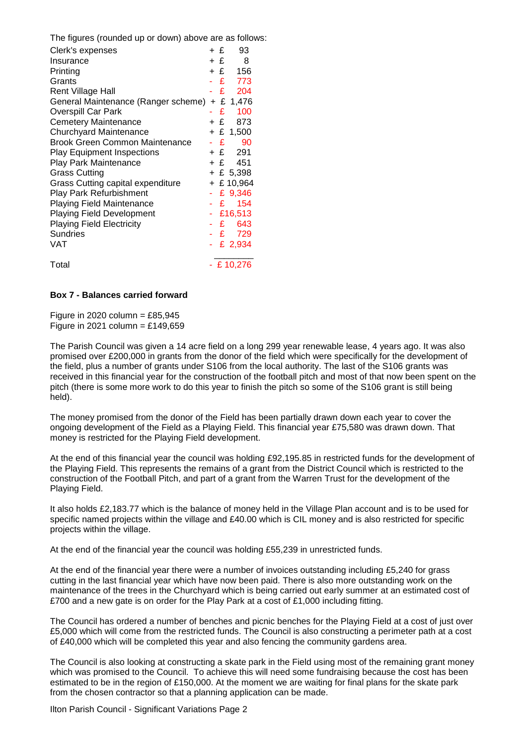The figures (rounded up or down) above are as follows:

| Clerk's expenses                              | + £ | 93           |
|-----------------------------------------------|-----|--------------|
| Insurance                                     | + £ | 8            |
| Printing                                      |     | + £ 156      |
| Grants                                        |     | £ 773        |
| <b>Rent Village Hall</b>                      |     | - £ 204      |
| General Maintenance (Ranger scheme) + £ 1,476 |     |              |
| <b>Overspill Car Park</b>                     |     | $£$ 100      |
| <b>Cemetery Maintenance</b>                   |     | +£ 873       |
| <b>Churchyard Maintenance</b>                 |     | $+ £ 1,500$  |
| Brook Green Common Maintenance                |     | $-E$<br>90   |
| <b>Play Equipment Inspections</b>             |     | $+ f 291$    |
| Play Park Maintenance                         |     | +£ 451       |
| <b>Grass Cutting</b>                          |     | $+$ £ 5,398  |
| Grass Cutting capital expenditure             |     | $+$ £ 10,964 |
| <b>Play Park Refurbishment</b>                |     | £ 9,346      |
| <b>Playing Field Maintenance</b>              |     | - £ 154      |
| <b>Playing Field Development</b>              |     | $-$ £16,513  |
| <b>Playing Field Electricity</b>              |     | $-E$ 643     |
| Sundries                                      |     | -£729        |
| VAT                                           |     | - £ 2,934    |
| Total                                         |     | - £ 10,276   |

# **Box 7 - Balances carried forward**

Figure in 2020 column =  $£85,945$ Figure in 2021 column =  $£149,659$ 

The Parish Council was given a 14 acre field on a long 299 year renewable lease, 4 years ago. It was also promised over £200,000 in grants from the donor of the field which were specifically for the development of the field, plus a number of grants under S106 from the local authority. The last of the S106 grants was received in this financial year for the construction of the football pitch and most of that now been spent on the pitch (there is some more work to do this year to finish the pitch so some of the S106 grant is still being held).

The money promised from the donor of the Field has been partially drawn down each year to cover the ongoing development of the Field as a Playing Field. This financial year £75,580 was drawn down. That money is restricted for the Playing Field development.

At the end of this financial year the council was holding £92,195.85 in restricted funds for the development of the Playing Field. This represents the remains of a grant from the District Council which is restricted to the construction of the Football Pitch, and part of a grant from the Warren Trust for the development of the Playing Field.

It also holds £2,183.77 which is the balance of money held in the Village Plan account and is to be used for specific named projects within the village and £40.00 which is CIL money and is also restricted for specific projects within the village.

At the end of the financial year the council was holding £55,239 in unrestricted funds.

At the end of the financial year there were a number of invoices outstanding including £5,240 for grass cutting in the last financial year which have now been paid. There is also more outstanding work on the maintenance of the trees in the Churchyard which is being carried out early summer at an estimated cost of £700 and a new gate is on order for the Play Park at a cost of £1,000 including fitting.

The Council has ordered a number of benches and picnic benches for the Playing Field at a cost of just over £5,000 which will come from the restricted funds. The Council is also constructing a perimeter path at a cost of £40,000 which will be completed this year and also fencing the community gardens area.

The Council is also looking at constructing a skate park in the Field using most of the remaining grant money which was promised to the Council. To achieve this will need some fundraising because the cost has been estimated to be in the region of £150,000. At the moment we are waiting for final plans for the skate park from the chosen contractor so that a planning application can be made.